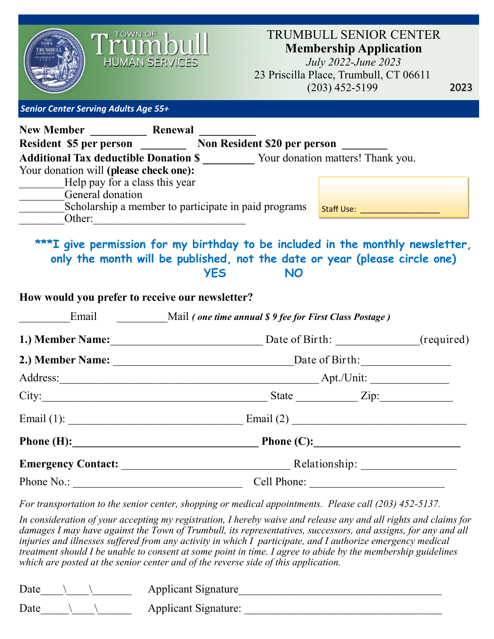

### TRUMBULL SENIOR CENTER **Membership Application**

*July 2022-June 2023* 23 Priscilla Place, Trumbull, CT 06611 (203) 452-5199

2023

*Senior Center Serving Adults Age 55+* 

| <b>New Member</b>                                    | Renewal |                              |                                   |
|------------------------------------------------------|---------|------------------------------|-----------------------------------|
| <b>Resident \$5 per person</b>                       |         | Non Resident \$20 per person |                                   |
| <b>Additional Tax deductible Donation \$</b>         |         |                              | Your donation matters! Thank you. |
| Your donation will (please check one):               |         |                              |                                   |
| Help pay for a class this year                       |         |                              |                                   |
| General donation                                     |         |                              |                                   |
| Scholarship a member to participate in paid programs |         |                              | Staff Use:                        |
| Other:                                               |         |                              |                                   |

# **\*\*\*I give permission for my birthday to be included in the monthly newsletter, only the month will be published, not the date or year (please circle one) YES NO**

### **How would you prefer to receive our newsletter?**

| Email                      | Mail (one time annual \$9 fee for First Class Postage) |  |  |
|----------------------------|--------------------------------------------------------|--|--|
| 1.) Member Name:           | Date of Birth: _______________(required)               |  |  |
|                            |                                                        |  |  |
|                            |                                                        |  |  |
| City:                      | State <u>Zip:</u>                                      |  |  |
| Email (1): $\qquad \qquad$ | Email (2) $\qquad \qquad$                              |  |  |
| Phone $(H)$ :              |                                                        |  |  |
|                            | <b>Emergency Contact:</b> Relationship:                |  |  |
| Phone No.:                 | Cell Phone:                                            |  |  |

*For transportation to the senior center, shopping or medical appointments. Please call (203) 452-5137.*

*In consideration of your accepting my registration, I hereby waive and release any and all rights and claims for damages I may have against the Town of Trumbull, its representatives, successors, and assigns, for any and all injuries and illnesses suffered from any activity in which I participate, and I authorize emergency medical treatment should I be unable to consent at some point in time. I agree to abide by the membership guidelines which are posted at the senior center and of the reverse side of this application.*

| Date | <b>Applicant Signature</b>  |
|------|-----------------------------|
| Date | <b>Applicant Signature:</b> |